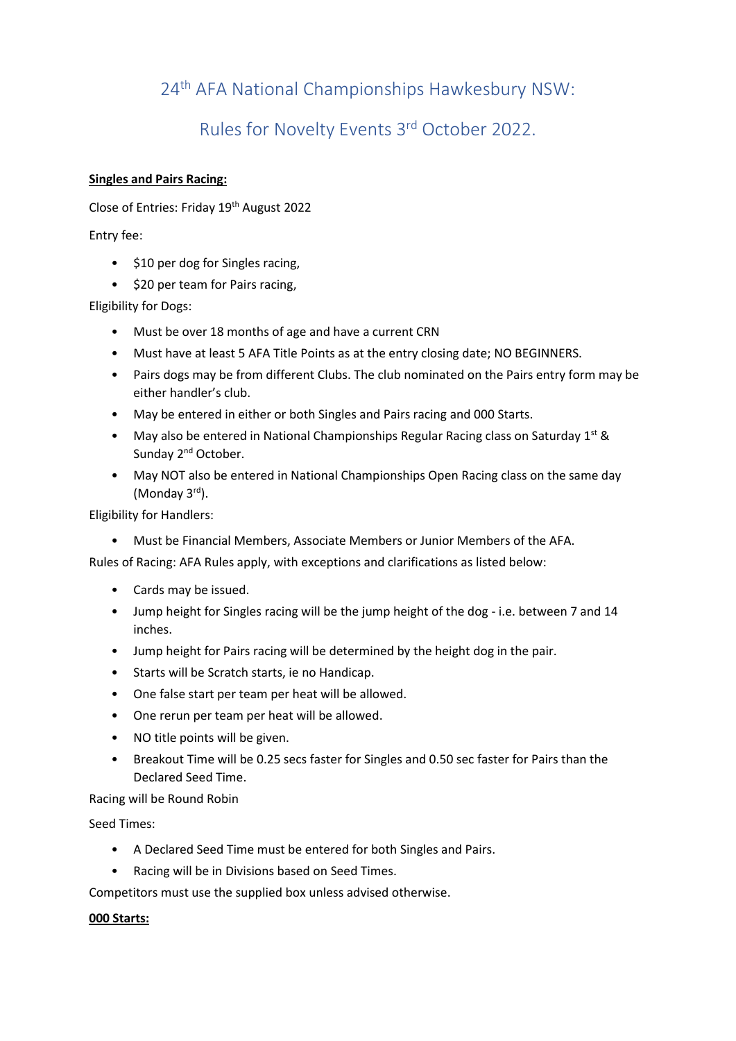## 24th AFA National Championships Hawkesbury NSW:

## Rules for Novelty Events 3rd October 2022.

## **Singles and Pairs Racing:**

Close of Entries: Friday 19<sup>th</sup> August 2022

Entry fee:

- \$10 per dog for Singles racing,
- \$20 per team for Pairs racing,

Eligibility for Dogs:

- Must be over 18 months of age and have a current CRN
- Must have at least 5 AFA Title Points as at the entry closing date; NO BEGINNERS.
- Pairs dogs may be from different Clubs. The club nominated on the Pairs entry form may be either handler's club.
- May be entered in either or both Singles and Pairs racing and 000 Starts.
- May also be entered in National Championships Regular Racing class on Saturday  $1^{st}$  & Sunday 2<sup>nd</sup> October.
- May NOT also be entered in National Championships Open Racing class on the same day (Monday 3<sup>rd</sup>).

Eligibility for Handlers:

• Must be Financial Members, Associate Members or Junior Members of the AFA.

Rules of Racing: AFA Rules apply, with exceptions and clarifications as listed below:

- Cards may be issued.
- Jump height for Singles racing will be the jump height of the dog i.e. between 7 and 14 inches.
- Jump height for Pairs racing will be determined by the height dog in the pair.
- Starts will be Scratch starts, ie no Handicap.
- One false start per team per heat will be allowed.
- One rerun per team per heat will be allowed.
- NO title points will be given.
- Breakout Time will be 0.25 secs faster for Singles and 0.50 sec faster for Pairs than the Declared Seed Time.

Racing will be Round Robin

Seed Times:

- A Declared Seed Time must be entered for both Singles and Pairs.
- Racing will be in Divisions based on Seed Times.

Competitors must use the supplied box unless advised otherwise.

## **000 Starts:**